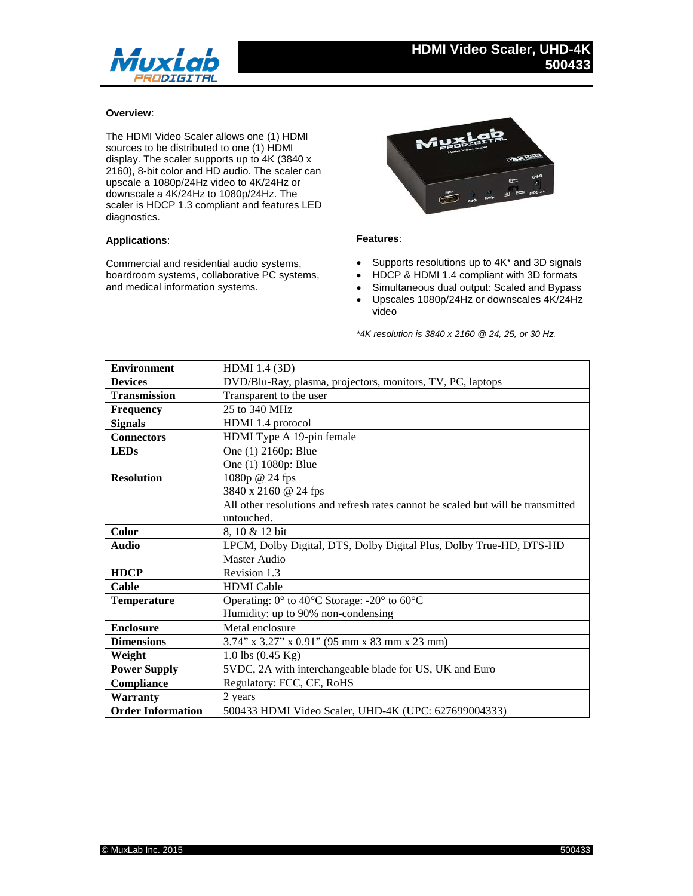

## **Overview**:

The HDMI Video Scaler allows one (1) HDMI sources to be distributed to one (1) HDMI display. The scaler supports up to 4K (3840 x 2160), 8-bit color and HD audio. The scaler can upscale a 1080p/24Hz video to 4K/24Hz or downscale a 4K/24Hz to 1080p/24Hz. The scaler is HDCP 1.3 compliant and features LED diagnostics.

## **Applications**:

Commercial and residential audio systems, boardroom systems, collaborative PC systems, and medical information systems.



## **Features**:

- Supports resolutions up to 4K<sup>\*</sup> and 3D signals
- HDCP & HDMI 1.4 compliant with 3D formats
- Simultaneous dual output: Scaled and Bypass
- Upscales 1080p/24Hz or downscales 4K/24Hz video

*\*4K resolution is 3840 x 2160 @ 24, 25, or 30 Hz.*

| <b>Environment</b>       | HDMI 1.4 (3D)                                                                    |
|--------------------------|----------------------------------------------------------------------------------|
| <b>Devices</b>           | DVD/Blu-Ray, plasma, projectors, monitors, TV, PC, laptops                       |
| <b>Transmission</b>      | Transparent to the user                                                          |
| <b>Frequency</b>         | 25 to 340 MHz                                                                    |
| <b>Signals</b>           | HDMI 1.4 protocol                                                                |
| <b>Connectors</b>        | HDMI Type A 19-pin female                                                        |
| <b>LEDs</b>              | One (1) 2160p: Blue                                                              |
|                          | One (1) 1080p: Blue                                                              |
| <b>Resolution</b>        | 1080p @ 24 fps                                                                   |
|                          | 3840 x 2160 @ 24 fps                                                             |
|                          | All other resolutions and refresh rates cannot be scaled but will be transmitted |
|                          | untouched.                                                                       |
| <b>Color</b>             | 8, 10 & 12 bit                                                                   |
| <b>Audio</b>             | LPCM, Dolby Digital, DTS, Dolby Digital Plus, Dolby True-HD, DTS-HD              |
|                          | Master Audio                                                                     |
| <b>HDCP</b>              | Revision 1.3                                                                     |
| Cable                    | <b>HDMI</b> Cable                                                                |
| <b>Temperature</b>       | Operating: $0^{\circ}$ to 40°C Storage: -20° to 60°C                             |
|                          | Humidity: up to 90% non-condensing                                               |
| <b>Enclosure</b>         | Metal enclosure                                                                  |
| <b>Dimensions</b>        | 3.74" x 3.27" x 0.91" (95 mm x 83 mm x 23 mm)                                    |
| Weight                   | 1.0 lbs $(0.45 \text{ Kg})$                                                      |
| <b>Power Supply</b>      | 5VDC, 2A with interchangeable blade for US, UK and Euro                          |
| Compliance               | Regulatory: FCC, CE, RoHS                                                        |
| <b>Warranty</b>          | 2 years                                                                          |
| <b>Order Information</b> | 500433 HDMI Video Scaler, UHD-4K (UPC: 627699004333)                             |